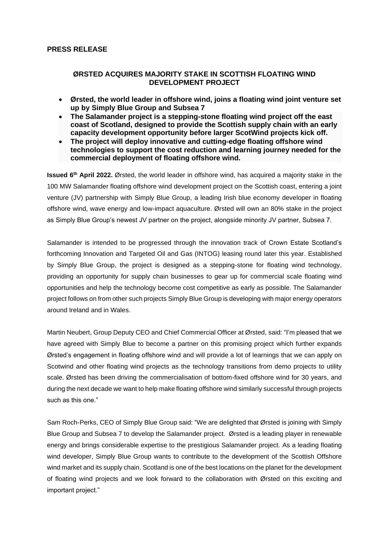# **PRESS RELEASE**

# **ØRSTED ACQUIRES MAJORITY STAKE IN SCOTTISH FLOATING WIND DEVELOPMENT PROJECT**

- **Ørsted, the world leader in offshore wind, joins a floating wind joint venture set up by Simply Blue Group and Subsea 7**
- **The Salamander project is a stepping-stone floating wind project off the east coast of Scotland, designed to provide the Scottish supply chain with an early capacity development opportunity before larger ScotWind projects kick off.**
- **The project will deploy innovative and cutting-edge floating offshore wind technologies to support the cost reduction and learning journey needed for the commercial deployment of floating offshore wind.**

**Issued 6 th April 2022.** Ørsted, the world leader in offshore wind, has acquired a majority stake in the 100 MW Salamander floating offshore wind development project on the Scottish coast, entering a joint venture (JV) partnership with Simply Blue Group, a leading Irish blue economy developer in floating offshore wind, wave energy and low-impact aquaculture. Ørsted will own an 80% stake in the project as Simply Blue Group's newest JV partner on the project, alongside minority JV partner, Subsea 7.

Salamander is intended to be progressed through the innovation track of Crown Estate Scotland's forthcoming Innovation and Targeted Oil and Gas (INTOG) leasing round later this year. Established by Simply Blue Group, the project is designed as a stepping-stone for floating wind technology, providing an opportunity for supply chain businesses to gear up for commercial scale floating wind opportunities and help the technology become cost competitive as early as possible. The Salamander project follows on from other such projects Simply Blue Group is developing with major energy operators around Ireland and in Wales.

Martin Neubert, Group Deputy CEO and Chief Commercial Officer at Ørsted, said: "I'm pleased that we have agreed with Simply Blue to become a partner on this promising project which further expands Ørsted's engagement in floating offshore wind and will provide a lot of learnings that we can apply on Scotwind and other floating wind projects as the technology transitions from demo projects to utility scale. Ørsted has been driving the commercialisation of bottom-fixed offshore wind for 30 years, and during the next decade we want to help make floating offshore wind similarly successful through projects such as this one."

Sam Roch-Perks, CEO of Simply Blue Group said: "We are delighted that Ørsted is joining with Simply Blue Group and Subsea 7 to develop the Salamander project. Ørsted is a leading player in renewable energy and brings considerable expertise to the prestigious Salamander project. As a leading floating wind developer, Simply Blue Group wants to contribute to the development of the Scottish Offshore wind market and its supply chain. Scotland is one of the best locations on the planet for the development of floating wind projects and we look forward to the collaboration with Ørsted on this exciting and important project."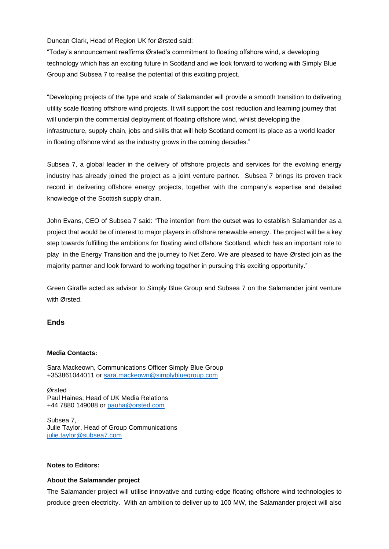Duncan Clark, Head of Region UK for Ørsted said:

"Today's announcement reaffirms Ørsted's commitment to floating offshore wind, a developing technology which has an exciting future in Scotland and we look forward to working with Simply Blue Group and Subsea 7 to realise the potential of this exciting project.

"Developing projects of the type and scale of Salamander will provide a smooth transition to delivering utility scale floating offshore wind projects. It will support the cost reduction and learning journey that will underpin the commercial deployment of floating offshore wind, whilst developing the infrastructure, supply chain, jobs and skills that will help Scotland cement its place as a world leader in floating offshore wind as the industry grows in the coming decades."

Subsea 7, a global leader in the delivery of offshore projects and services for the evolving energy industry has already joined the project as a joint venture partner. Subsea 7 brings its proven track record in delivering offshore energy projects, together with the company's expertise and detailed knowledge of the Scottish supply chain.

John Evans, CEO of Subsea 7 said: "The intention from the outset was to establish Salamander as a project that would be of interest to major players in offshore renewable energy. The project will be a key step towards fulfilling the ambitions for floating wind offshore Scotland, which has an important role to play in the Energy Transition and the journey to Net Zero. We are pleased to have Ørsted join as the majority partner and look forward to working together in pursuing this exciting opportunity."

Green Giraffe acted as advisor to Simply Blue Group and Subsea 7 on the Salamander joint venture with Ørsted.

## **Ends**

#### **Media Contacts:**

Sara Mackeown, Communications Officer Simply Blue Group +353861044011 or [sara.mackeown@simplybluegroup.com](mailto:sara.mackeown@simplybluegroup.com)

Ørsted Paul Haines, Head of UK Media Relations +44 7880 149088 or [pauha@orsted.com](mailto:pauha@orsted.com) 

Subsea 7, Julie Taylor, Head of Group Communications [julie.taylor@subsea7.com](mailto:julie.taylor@subsea7.com)

### **Notes to Editors:**

#### **About the Salamander project**

The Salamander project will utilise innovative and cutting-edge floating offshore wind technologies to produce green electricity. With an ambition to deliver up to 100 MW, the Salamander project will also